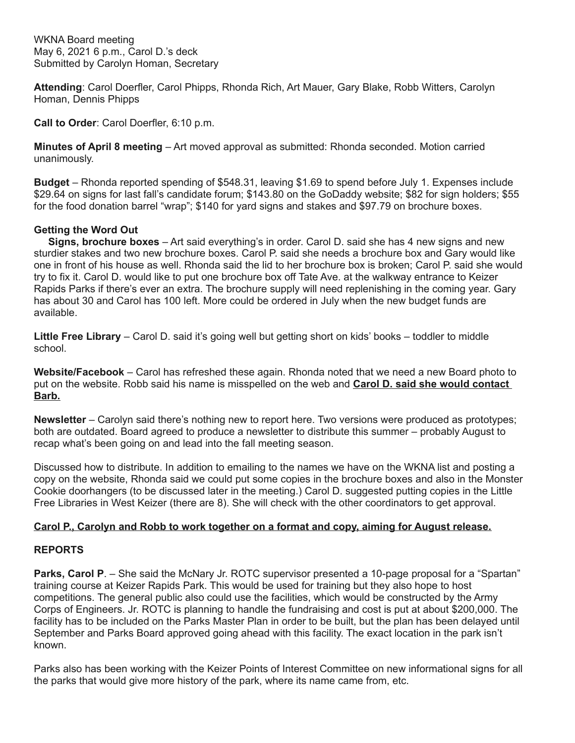**Attending**: Carol Doerfler, Carol Phipps, Rhonda Rich, Art Mauer, Gary Blake, Robb Witters, Carolyn Homan, Dennis Phipps

**Call to Order**: Carol Doerfler, 6:10 p.m.

**Minutes of April 8 meeting** – Art moved approval as submitted: Rhonda seconded. Motion carried unanimously.

**Budget** – Rhonda reported spending of \$548.31, leaving \$1.69 to spend before July 1. Expenses include \$29.64 on signs for last fall's candidate forum; \$143.80 on the GoDaddy website; \$82 for sign holders; \$55 for the food donation barrel "wrap"; \$140 for yard signs and stakes and \$97.79 on brochure boxes.

## **Getting the Word Out**

 **Signs, brochure boxes** – Art said everything's in order. Carol D. said she has 4 new signs and new sturdier stakes and two new brochure boxes. Carol P. said she needs a brochure box and Gary would like one in front of his house as well. Rhonda said the lid to her brochure box is broken; Carol P. said she would try to fix it. Carol D. would like to put one brochure box off Tate Ave. at the walkway entrance to Keizer Rapids Parks if there's ever an extra. The brochure supply will need replenishing in the coming year. Gary has about 30 and Carol has 100 left. More could be ordered in July when the new budget funds are available.

**Little Free Library** – Carol D. said it's going well but getting short on kids' books – toddler to middle school.

**Website/Facebook** – Carol has refreshed these again. Rhonda noted that we need a new Board photo to put on the website. Robb said his name is misspelled on the web and **Carol D. said she would contact Barb.**

**Newsletter** – Carolyn said there's nothing new to report here. Two versions were produced as prototypes; both are outdated. Board agreed to produce a newsletter to distribute this summer – probably August to recap what's been going on and lead into the fall meeting season.

Discussed how to distribute. In addition to emailing to the names we have on the WKNA list and posting a copy on the website, Rhonda said we could put some copies in the brochure boxes and also in the Monster Cookie doorhangers (to be discussed later in the meeting.) Carol D. suggested putting copies in the Little Free Libraries in West Keizer (there are 8). She will check with the other coordinators to get approval.

## **Carol P., Carolyn and Robb to work together on a format and copy, aiming for August release.**

## **REPORTS**

Parks, Carol P. - She said the McNary Jr. ROTC supervisor presented a 10-page proposal for a "Spartan" training course at Keizer Rapids Park. This would be used for training but they also hope to host competitions. The general public also could use the facilities, which would be constructed by the Army Corps of Engineers. Jr. ROTC is planning to handle the fundraising and cost is put at about \$200,000. The facility has to be included on the Parks Master Plan in order to be built, but the plan has been delayed until September and Parks Board approved going ahead with this facility. The exact location in the park isn't known.

Parks also has been working with the Keizer Points of Interest Committee on new informational signs for all the parks that would give more history of the park, where its name came from, etc.